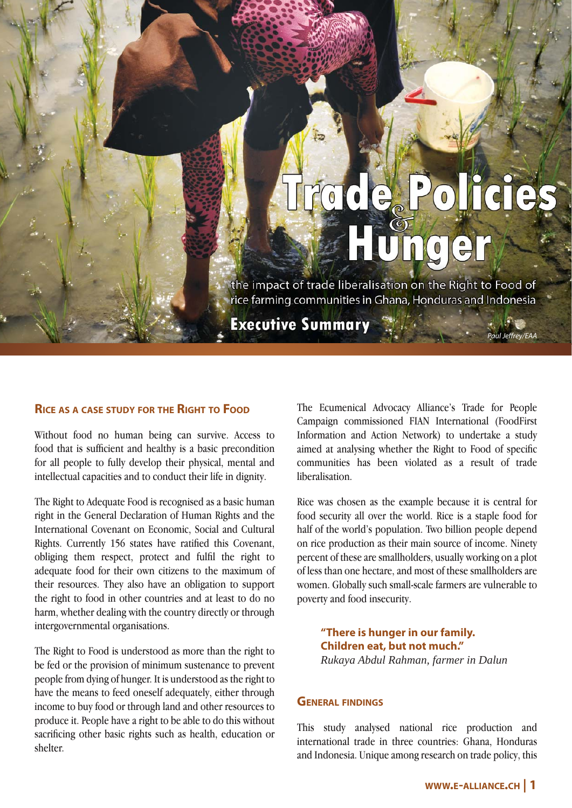# Policie  $\begin{pmatrix} 1 \\ 0 \end{pmatrix}$ mg

Paul Jeffrey/EAA

the impact of trade liberalisation on the Right to Food of rice farming communities in Ghana, Honduras and Indonesia

**Executive Summary** 

### **RICE AS <sup>A</sup> CASE STUDY FOR THE RIGHT TO FOOD**

Without food no human being can survive. Access to food that is sufficient and healthy is a basic precondition for all people to fully develop their physical, mental and intellectual capacities and to conduct their life in dignity.

The Right to Adequate Food is recognised as a basic human right in the General Declaration of Human Rights and the International Covenant on Economic, Social and Cultural Rights. Currently 156 states have ratified this Covenant, obliging them respect, protect and fulfil the right to adequate food for their own citizens to the maximum of their resources. They also have an obligation to support the right to food in other countries and at least to do no harm, whether dealing with the country directly or through intergovernmental organisations.

The Right to Food is understood as more than the right to be fed or the provision of minimum sustenance to prevent people from dying of hunger. It is understood as the right to have the means to feed oneself adequately, either through income to buy food or through land and other resources to produce it. People have a right to be able to do this without sacrificing other basic rights such as health, education or shelter.

The Ecumenical Advocacy Alliance's Trade for People Campaign commissioned FIAN International (FoodFirst Information and Action Network) to undertake a study aimed at analysing whether the Right to Food of specific communities has been violated as a result of trade liberalisation.

Rice was chosen as the example because it is central for food security all over the world. Rice is a staple food for half of the world's population. Two billion people depend on rice production as their main source of income. Ninety percent of these are smallholders, usually working on a plot of less than one hectare, and most of these smallholders are women. Globally such small-scale farmers are vulnerable to poverty and food insecurity.

**"There is hunger in our family. Children eat, but not much."** *Rukaya Abdul Rahman, farmer in Dalun*

#### **GENERAL FINDINGS**

This study analysed national rice production and international trade in three countries: Ghana, Honduras and Indonesia. Unique among research on trade policy, this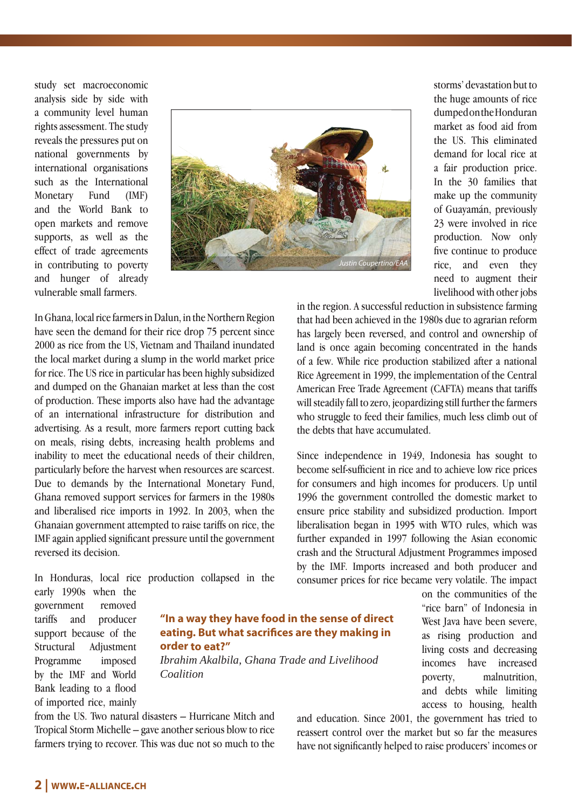study set macroeconomic analysis side by side with a community level human rights assessment. The study reveals the pressures put on national governments by international organisations such as the International Monetary Fund (IMF) and the World Bank to open markets and remove supports, as well as the effect of trade agreements in contributing to poverty and hunger of already vulnerable small farmers.



storms' devastation but to the huge amounts of rice dumped on the Honduran market as food aid from the US. This eliminated demand for local rice at a fair production price. In the 30 families that make up the community of Guayamán, previously 23 were involved in rice production. Now only five continue to produce rice, and even they need to augment their livelihood with other jobs

In Ghana, local rice farmers in Dalun, in the Northern Region have seen the demand for their rice drop 75 percent since 2000 as rice from the US, Vietnam and Thailand inundated the local market during a slump in the world market price for rice. The US rice in particular has been highly subsidized and dumped on the Ghanaian market at less than the cost of production. These imports also have had the advantage of an international infrastructure for distribution and advertising. As a result, more farmers report cutting back on meals, rising debts, increasing health problems and inability to meet the educational needs of their children, particularly before the harvest when resources are scarcest. Due to demands by the International Monetary Fund, Ghana removed support services for farmers in the 1980s and liberalised rice imports in 1992. In 2003, when the Ghanaian government attempted to raise tariffs on rice, the IMF again applied significant pressure until the government reversed its decision.

In Honduras, local rice production collapsed in the early 1990s when the

> **"In a way they have food in the sense of direct eating. But what sacrifices are they making in order to eat?"**

*Ibrahim Akalbila, Ghana Trade and Livelihood Coalition*

from the US. Two natural disasters – Hurricane Mitch and Tropical Storm Michelle – gave another serious blow to rice farmers trying to recover. This was due not so much to the

in the region. A successful reduction in subsistence farming that had been achieved in the 1980s due to agrarian reform has largely been reversed, and control and ownership of land is once again becoming concentrated in the hands of a few. While rice production stabilized after a national Rice Agreement in 1999, the implementation of the Central American Free Trade Agreement (CAFTA) means that tariffs will steadily fall to zero, jeopardizing still further the farmers who struggle to feed their families, much less climb out of the debts that have accumulated.

Since independence in 1949, Indonesia has sought to become self-sufficient in rice and to achieve low rice prices for consumers and high incomes for producers. Up until 1996 the government controlled the domestic market to ensure price stability and subsidized production. Import liberalisation began in 1995 with WTO rules, which was further expanded in 1997 following the Asian economic crash and the Structural Adjustment Programmes imposed by the IMF. Imports increased and both producer and consumer prices for rice became very volatile. The impact

> on the communities of the "rice barn" of Indonesia in West Java have been severe, as rising production and living costs and decreasing incomes have increased poverty, malnutrition, and debts while limiting access to housing, health

and education. Since 2001, the government has tried to reassert control over the market but so far the measures have not significantly helped to raise producers' incomes or

government removed tariffs and producer support because of the Structural Adjustment Programme imposed by the IMF and World Bank leading to a flood of imported rice, mainly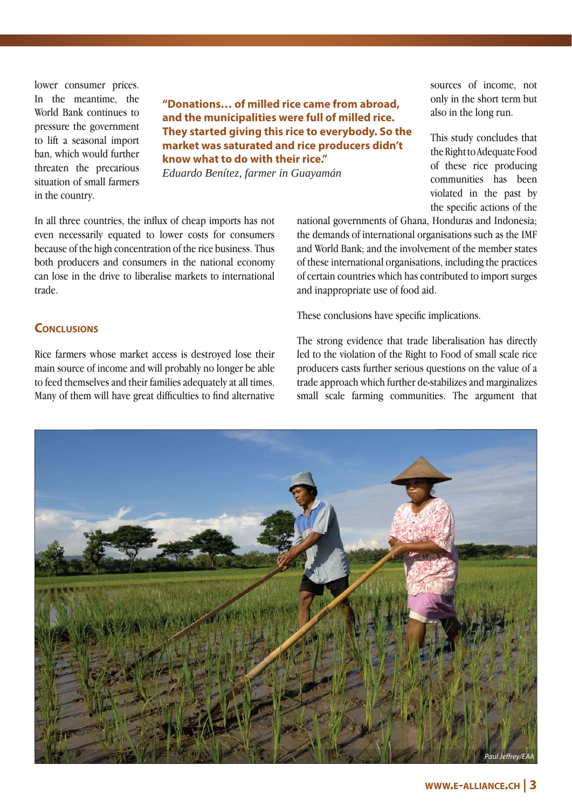lower consumer prices. In the meantime, the World Bank continues to pressure the government to lift a seasonal import ban, which would further threaten the precarious situation of small farmers in the country.

**"Donations… of milled rice came from abroad, and the municipalities were full of milled rice. They started giving this rice to everybody. So the market was saturated and rice producers didn't know what to do with their rice."**

*Eduardo Benítez, farmer in Guayamán*

In all three countries, the influx of cheap imports has not even necessarily equated to lower costs for consumers because of the high concentration of the rice business. Thus both producers and consumers in the national economy can lose in the drive to liberalise markets to international trade.

national governments of Ghana, Honduras and Indonesia; the demands of international organisations such as the IMF and World Bank; and the involvement of the member states of these international organisations, including the practices of certain countries which has contributed to import surges and inappropriate use of food aid.

These conclusions have specific implications.

### **CONCLUSIONS**

Rice farmers whose market access is destroyed lose their main source of income and will probably no longer be able to feed themselves and their families adequately at all times. Many of them will have great difficulties to find alternative The strong evidence that trade liberalisation has directly led to the violation of the Right to Food of small scale rice producers casts further serious questions on the value of a trade approach which further de-stabilizes and marginalizes small scale farming communities. The argument that



sources of income, not only in the short term but also in the long run.

This study concludes that the Right to Adequate Food of these rice producing communities has been violated in the past by the specific actions of the